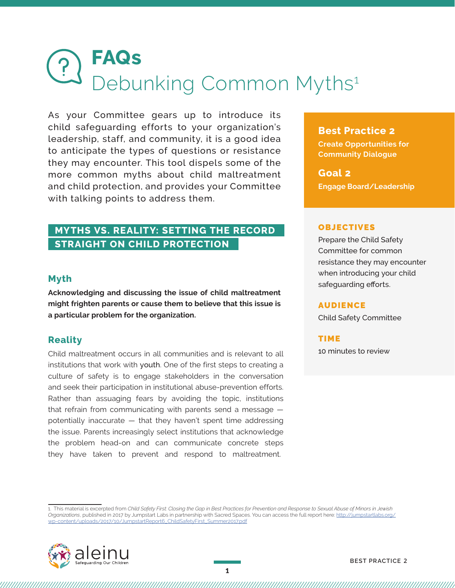# **FAQs** Debunking Common Myths<sup>1</sup>

As your Committee gears up to introduce its child safeguarding efforts to your organization's leadership, staff, and community, it is a good idea to anticipate the types of questions or resistance they may encounter. This tool dispels some of the more common myths about child maltreatment and child protection, and provides your Committee with talking points to address them.

## **MYTHS VS. REALITY: SETTING THE RECORD STRAIGHT ON CHILD PROTECTION**

## **Myth**

**Acknowledging and discussing the issue of child maltreatment might frighten parents or cause them to believe that this issue is a particular problem for the organization.** 

## **Reality**

Child maltreatment occurs in all communities and is relevant to all institutions that work with youth. One of the first steps to creating a culture of safety is to engage stakeholders in the conversation and seek their participation in institutional abuse-prevention efforts. Rather than assuaging fears by avoiding the topic, institutions that refrain from communicating with parents send a message potentially inaccurate — that they haven't spent time addressing the issue. Parents increasingly select institutions that acknowledge the problem head-on and can communicate concrete steps they have taken to prevent and respond to maltreatment.

## **Best Practice 2**

**Create Opportunities for Community Dialogue**

**Goal 2 Engage Board/Leadership** 

#### OBJECTIVES

Prepare the Child Safety Committee for common resistance they may encounter when introducing your child safeguarding efforts.

#### AUDIENCE

Child Safety Committee

#### TIME

10 minutes to review

1. This material is excerpted from *Child Safety First: Closing the Gap in Best Practices for Prevention and Response to Sexual Abuse of Minors in Jewish Organizations*, published in 2017 by Jumpstart Labs in partnership with Sacred Spaces. You can access the full report here: [http://jumpstartlabs.org/](http://jumpstartlabs.org/wp-content/uploads/2017/10/JumpstartReport6_ChildSafetyFirst_Summer2017.pdf) [wp-content/uploads/2017/10/JumpstartReport6\\_ChildSafetyFirst\\_Summer2017.pdf](http://jumpstartlabs.org/wp-content/uploads/2017/10/JumpstartReport6_ChildSafetyFirst_Summer2017.pdf)



,,,,,,,,,,,,,,,,,,,,,,,,,,,,,,,,,,,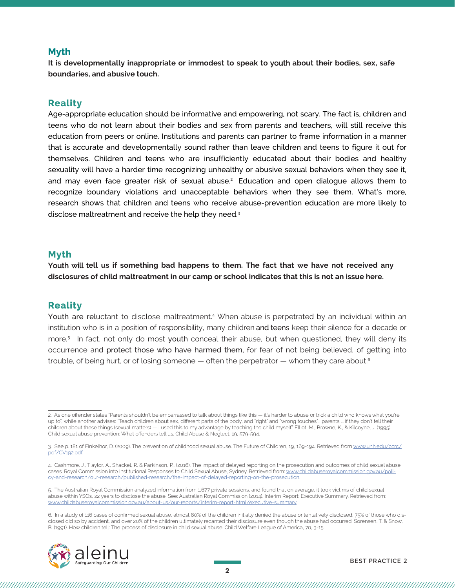## **Myth**

**It is developmentally inappropriate or immodest to speak to** youth **about their bodies, sex, safe boundaries, and abusive touch.** 

## **Reality**

Age-appropriate education should be informative and empowering, not scary. The fact is, children and teens who do not learn about their bodies and sex from parents and teachers, will still receive this education from peers or online. Institutions and parents can partner to frame information in a manner that is accurate and developmentally sound rather than leave children and teens to figure it out for themselves. Children and teens who are insufficiently educated about their bodies and healthy sexuality will have a harder time recognizing unhealthy or abusive sexual behaviors when they see it, and may even face greater risk of sexual abuse. <sup>2</sup> Education and open dialogue allows them to recognize boundary violations and unacceptable behaviors when they see them. What's more, research shows that children and teens who receive abuse-prevention education are more likely to disclose maltreatment and receive the help they need.<sup>3</sup>

### **Myth**

Youth will t**ell us if something bad happens to them. The fact that we have not received any disclosures of child maltreatment in our camp or school indicates that this is not an issue here.** 

## **Reality**

Youth are reluctant to disclose maltreatment.<sup>4</sup> When abuse is perpetrated by an individual within an institution who is in a position of responsibility, many children and teens keep their silence for a decade or more. 5 In fact, not only do most youth conceal their abuse, but when questioned, they will deny its occurrence and protect those who have harmed them, for fear of not being believed, of getting into trouble, of being hurt, or of losing someone  $-$  often the perpetrator  $-$  whom they care about.<sup>6</sup>

<sup>6.</sup> In a study of 116 cases of confirmed sexual abuse, almost 80% of the children initially denied the abuse or tentatively disclosed, 75% of those who disclosed did so by accident, and over 20% of the children ultimately recanted their disclosure even though the abuse had occurred. Sorensen, T. & Snow, B. (1991). How children tell: The process of disclosure in child sexual abuse. Child Welfare League of America, 70, 3-15.



<sup>2.</sup> As one offender states "Parents shouldn't be embarrassed to talk about things like this — it's harder to abuse or trick a child who knows what you're up to", while another advises: "Teach children about sex, different parts of the body, and "right" and "wrong touches"... parents ... if they don't tell their children about these things (sexual matters) — I used this to my advantage by teaching the child myself." Elliot, M., Browne, K., & Kilcoyne, J. (1995). Child sexual abuse prevention: What offenders tell us. Child Abuse & Neglect, 19, 579-594.

<sup>3.</sup> See p. 181 of Finkelhor, D. (2009). The prevention of childhood sexual abuse. The Future of Children, 19, 169-194. Retrieved from [www.unh.edu/ccrc/](www.unh.edu/ccrc/pdf/CV192.pdf) [pdf/CV192.pdf](www.unh.edu/ccrc/pdf/CV192.pdf).

<sup>4.</sup> Cashmore, J., T aylor, A., Shackel, R. & Parkinson, P., (2016). The impact of delayed reporting on the prosecution and outcomes of child sexual abuse cases. Royal Commission into Institutional Responses to Child Sexual Abuse, Sydney. Retrieved from: [www.childabuseroyalcommission.gov.au/poli](www.childabuseroyalcommission.gov.au/policy-and-research/our-research/published-research/the-impact-of-delayed-reporting-on-the-prosecution)[cy-and-research/our-research/published-research/the-impact-of-delayed-reporting-on-the-prosecution.](www.childabuseroyalcommission.gov.au/policy-and-research/our-research/published-research/the-impact-of-delayed-reporting-on-the-prosecution)

<sup>5.</sup> The Australian Royal Commission analyzed information from 1,677 private sessions, and found that on average, it took victims of child sexual abuse within YSOs, 22 years to disclose the abuse. See: Australian Royal Commission (2014). Interim Report: Executive Summary. Retrieved from: [www.childabuseroyalcommission.gov.au/about-us/our-reports/interim-report-html/e](www.childabuseroyalcommission.gov.au/about-us/our-reports/interim-report-html/executive-summary)xecutive-summary.